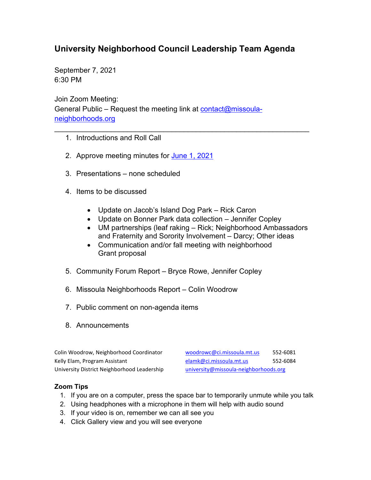## **University Neighborhood Council Leadership Team Agenda**

September 7, 2021 6:30 PM

Join Zoom Meeting: General Public – Request the meeting link at [contact@missoula](mailto:contact@missoula-neighborhoods.org)[neighborhoods.org](mailto:contact@missoula-neighborhoods.org)

- 1. Introductions and Roll Call
- 2. Approve meeting minutes for June [1, 2021](https://www.ci.missoula.mt.us/Archive.aspx?ADID=16043)
- 3. Presentations none scheduled
- 4. Items to be discussed
	- Update on Jacob's Island Dog Park Rick Caron
	- Update on Bonner Park data collection Jennifer Copley

\_\_\_\_\_\_\_\_\_\_\_\_\_\_\_\_\_\_\_\_\_\_\_\_\_\_\_\_\_\_\_\_\_\_\_\_\_\_\_\_\_\_\_\_\_\_\_\_\_\_\_\_\_\_\_\_\_\_\_\_\_\_\_

- UM partnerships (leaf raking Rick; Neighborhood Ambassadors and Fraternity and Sorority Involvement – Darcy; Other ideas
- Communication and/or fall meeting with neighborhood Grant proposal
- 5. Community Forum Report Bryce Rowe, Jennifer Copley
- 6. Missoula Neighborhoods Report Colin Woodrow
- 7. Public comment on non-agenda items
- 8. Announcements

Colin Woodrow, Neighborhood Coordinator voodrowc@ci.missoula.mt.us 552-6081 University District Neighborhood Leadership [university@missoula-neighborhoods.org](mailto:university@missoula-neighborhoods.org)

Kelly Elam, Program Assistant [elamk@ci.missoula.mt.us](mailto:elamk@ci.missoula.mt.us) 552-6084

## **Zoom Tips**

- 1. If you are on a computer, press the space bar to temporarily unmute while you talk
- 2. Using headphones with a microphone in them will help with audio sound
- 3. If your video is on, remember we can all see you
- 4. Click Gallery view and you will see everyone